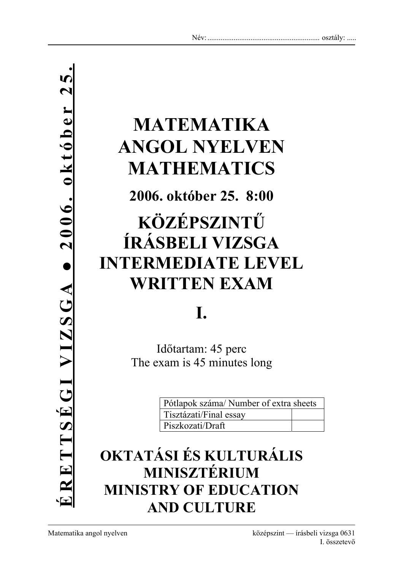# **MATEMATIKA ANGOL NYELVEN MATHEMATICS**

**2006. október 25. 8:00** 

# **KÖZÉPSZINTŰ ÍRÁSBELI VIZSGA INTERMEDIATE LEVEL WRITTEN EXAM**

## **I.**

Időtartam: 45 perc The exam is 45 minutes long

| Pótlapok száma/ Number of extra sheets |  |
|----------------------------------------|--|
| Tisztázati/Final essay                 |  |
| Piszkozati/Draft                       |  |

### **OKTATÁSI ÉS KULTURÁLIS MINISZTÉRIUM MINISTRY OF EDUCATION AND CULTURE**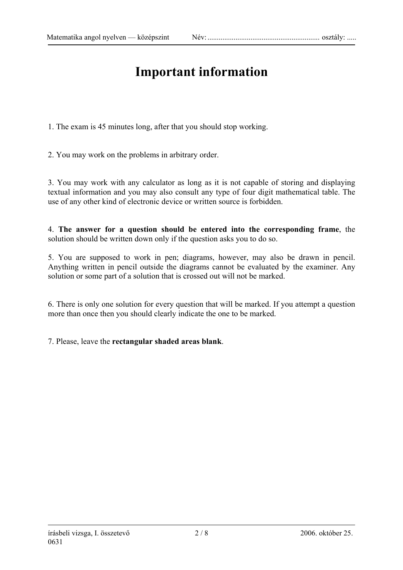### **Important information**

1. The exam is 45 minutes long, after that you should stop working.

2. You may work on the problems in arbitrary order.

3. You may work with any calculator as long as it is not capable of storing and displaying textual information and you may also consult any type of four digit mathematical table. The use of any other kind of electronic device or written source is forbidden.

4. **The answer for a question should be entered into the corresponding frame**, the solution should be written down only if the question asks you to do so.

5. You are supposed to work in pen; diagrams, however, may also be drawn in pencil. Anything written in pencil outside the diagrams cannot be evaluated by the examiner. Any solution or some part of a solution that is crossed out will not be marked.

6. There is only one solution for every question that will be marked. If you attempt a question more than once then you should clearly indicate the one to be marked.

7. Please, leave the **rectangular shaded areas blank**.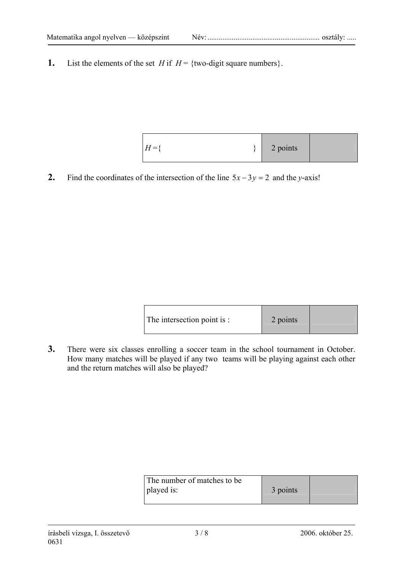**1.** List the elements of the set *H* if  $H = \{two-digit square numbers\}$ .

| $H = \frac{1}{2}$ | 2 points |  |
|-------------------|----------|--|
|                   |          |  |

2. Find the coordinates of the intersection of the line  $5x - 3y = 2$  and the *y*-axis!

| The intersection point is : | 2 points |  |
|-----------------------------|----------|--|
|-----------------------------|----------|--|

**3.** There were six classes enrolling a soccer team in the school tournament in October. How many matches will be played if any two teams will be playing against each other and the return matches will also be played?

| The number of matches to be |          |  |
|-----------------------------|----------|--|
| played is:                  | 3 points |  |
|                             |          |  |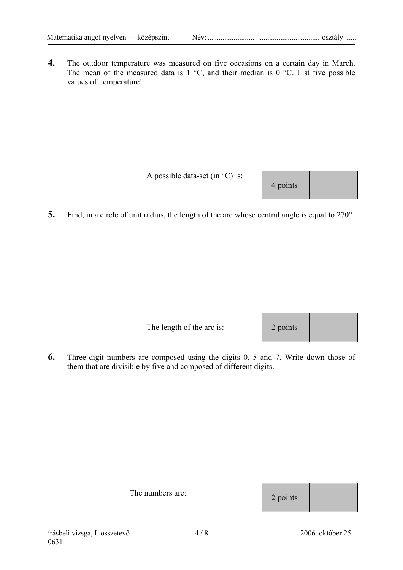**4.** The outdoor temperature was measured on five occasions on a certain day in March. The mean of the measured data is  $1 \degree C$ , and their median is  $0 \degree C$ . List five possible values of temperature!

| A possible data-set (in $^{\circ}$ C) is: | 4 points |  |
|-------------------------------------------|----------|--|
|-------------------------------------------|----------|--|

**5.** Find, in a circle of unit radius, the length of the arc whose central angle is equal to 270°.

| The length of the arc is: | 2 points |  |
|---------------------------|----------|--|
|---------------------------|----------|--|

**6.** Three-digit numbers are composed using the digits 0, 5 and 7. Write down those of them that are divisible by five and composed of different digits.

| The numbers are: | 2 points |  |
|------------------|----------|--|
|------------------|----------|--|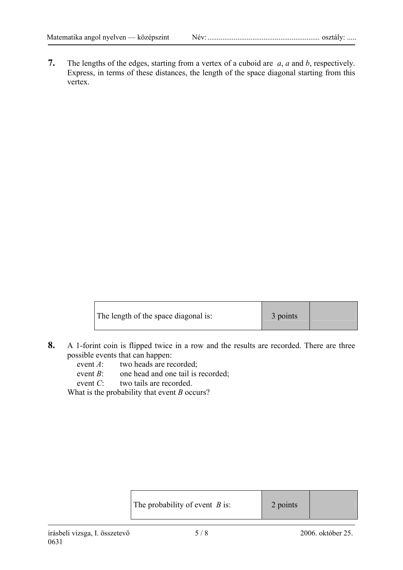**7.** The lengths of the edges, starting from a vertex of a cuboid are *a*, *a* and *b*, respectively. Express, in terms of these distances, the length of the space diagonal starting from this vertex.

| The length of the space diagonal is: | 3 points |  |
|--------------------------------------|----------|--|
|--------------------------------------|----------|--|

- **8.** A 1-forint coin is flipped twice in a row and the results are recorded. There are three possible events that can happen:
	- event *A*: two heads are recorded;
	- event *B*: one head and one tail is recorded;
	- event *C*: two tails are recorded.

What is the probability that event *B* occurs?

| The probability of event $B$ is: | 2 points |
|----------------------------------|----------|
|----------------------------------|----------|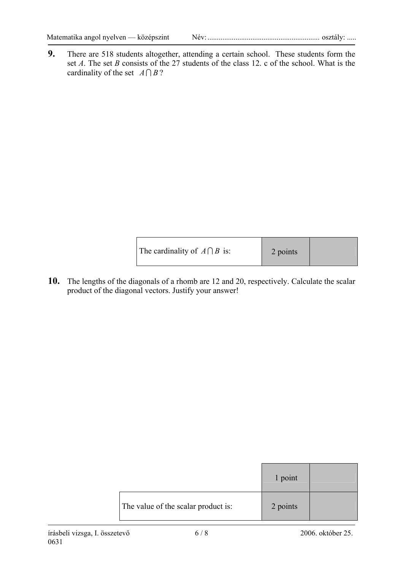|--|--|

**9.** There are 518 students altogether, attending a certain school. These students form the set *A*. The set *B* consists of the 27 students of the class 12. c of the school. What is the cardinality of the set  $A \cap B$ ?

| The cardinality of $A \cap B$ is: | 2 points |  |
|-----------------------------------|----------|--|
|-----------------------------------|----------|--|

**10.** The lengths of the diagonals of a rhomb are 12 and 20, respectively. Calculate the scalar product of the diagonal vectors. Justify your answer!

|                                     | 1 point  |  |
|-------------------------------------|----------|--|
| The value of the scalar product is: | 2 points |  |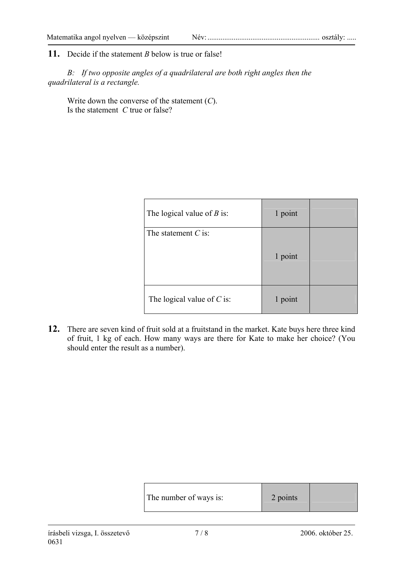#### **11.** Decide if the statement *B* below is true or false!

 *B: If two opposite angles of a quadrilateral are both right angles then the quadrilateral is a rectangle.* 

 Write down the converse of the statement (*C*). Is the statement *C* true or false?

| The logical value of $B$ is: | 1 point |  |
|------------------------------|---------|--|
| The statement $C$ is:        | 1 point |  |
| The logical value of $C$ is: | 1 point |  |

**12.** There are seven kind of fruit sold at a fruitstand in the market. Kate buys here three kind of fruit, 1 kg of each. How many ways are there for Kate to make her choice? (You should enter the result as a number).

| The number of ways is: | 2 points |  |
|------------------------|----------|--|
|------------------------|----------|--|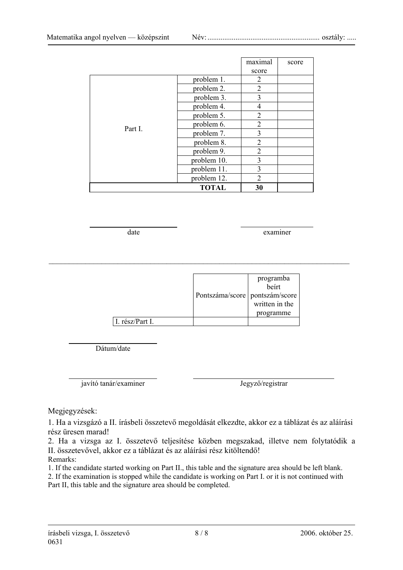|         |              | maximal        | score |
|---------|--------------|----------------|-------|
|         |              | score          |       |
|         | problem 1.   | 2              |       |
|         | problem 2.   | $\overline{2}$ |       |
|         | problem 3.   | 3              |       |
|         | problem 4.   | 4              |       |
|         | problem 5.   | $\overline{2}$ |       |
| Part I. | problem 6.   | 2              |       |
|         | problem 7.   | 3              |       |
|         | problem 8.   | 2              |       |
|         | problem 9.   | $\overline{2}$ |       |
|         | problem 10.  | 3              |       |
|         | problem 11.  | 3              |       |
|         | problem 12.  | 2              |       |
|         | <b>TOTAL</b> | 30             |       |

 $\mathcal{L}_\mathcal{L} = \{ \mathcal{L}_\mathcal{L} = \{ \mathcal{L}_\mathcal{L} = \{ \mathcal{L}_\mathcal{L} = \{ \mathcal{L}_\mathcal{L} = \{ \mathcal{L}_\mathcal{L} = \{ \mathcal{L}_\mathcal{L} = \{ \mathcal{L}_\mathcal{L} = \{ \mathcal{L}_\mathcal{L} = \{ \mathcal{L}_\mathcal{L} = \{ \mathcal{L}_\mathcal{L} = \{ \mathcal{L}_\mathcal{L} = \{ \mathcal{L}_\mathcal{L} = \{ \mathcal{L}_\mathcal{L} = \{ \mathcal{L}_\mathcal{$ 

date examiner

|                 | Pontszáma/score   pontszám/score | programba<br>beírt<br>written in the<br>programme |
|-----------------|----------------------------------|---------------------------------------------------|
| I. rész/Part I. |                                  |                                                   |

Dátum/date

javító tanár/examiner Jegyző/registrar

Megjegyzések:

1. Ha a vizsgázó a II. írásbeli összetevő megoldását elkezdte, akkor ez a táblázat és az aláírási rész üresen marad!

2. Ha a vizsga az I. összetevő teljesítése közben megszakad, illetve nem folytatódik a II. összetevővel, akkor ez a táblázat és az aláírási rész kitöltendő!

Remarks:

1. If the candidate started working on Part II., this table and the signature area should be left blank. 2. If the examination is stopped while the candidate is working on Part I. or it is not continued with Part II, this table and the signature area should be completed.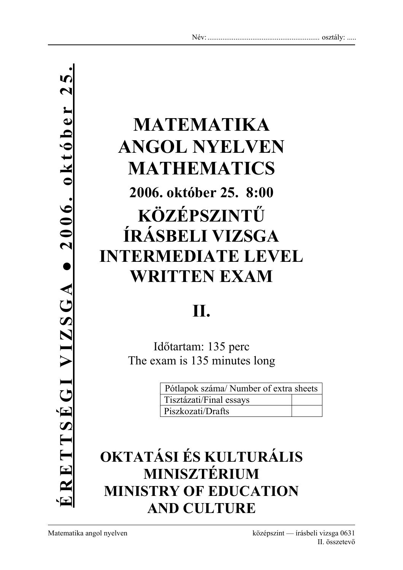# **MATEMATIKA ANGOL NYELVEN MATHEMATICS 2006. október 25. 8:00 KÖZÉPSZINTŰ ÍRÁSBELI VIZSGA INTERMEDIATE LEVEL WRITTEN EXAM**

# **II.**

Időtartam: 135 perc The exam is 135 minutes long

| Pótlapok száma/Number of extra sheets |  |  |
|---------------------------------------|--|--|
| Tisztázati/Final essays               |  |  |
| Piszkozati/Drafts                     |  |  |

### **OKTATÁSI ÉS KULTURÁLIS MINISZTÉRIUM MINISTRY OF EDUCATION AND CULTURE**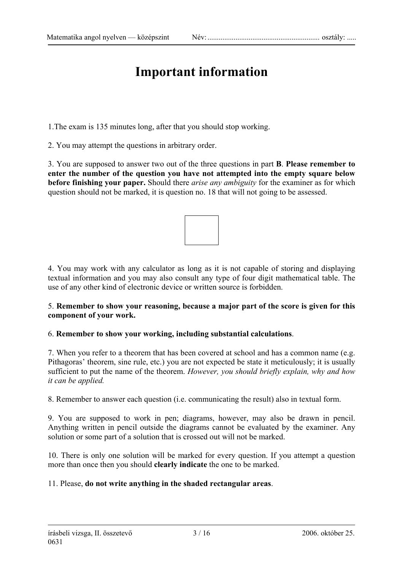### **Important information**

1.The exam is 135 minutes long, after that you should stop working.

2. You may attempt the questions in arbitrary order.

3. You are supposed to answer two out of the three questions in part **B**. **Please remember to enter the number of the question you have not attempted into the empty square below before finishing your paper.** Should there *arise any ambiguity* for the examiner as for which question should not be marked, it is question no. 18 that will not going to be assessed.



4. You may work with any calculator as long as it is not capable of storing and displaying textual information and you may also consult any type of four digit mathematical table. The use of any other kind of electronic device or written source is forbidden.

#### 5. **Remember to show your reasoning, because a major part of the score is given for this component of your work.**

#### 6. **Remember to show your working, including substantial calculations**.

7. When you refer to a theorem that has been covered at school and has a common name (e.g. Pithagoras' theorem, sine rule, etc.) you are not expected be state it meticulously; it is usually sufficient to put the name of the theorem. *However, you should briefly explain, why and how it can be applied.* 

8. Remember to answer each question (i.e. communicating the result) also in textual form.

9. You are supposed to work in pen; diagrams, however, may also be drawn in pencil. Anything written in pencil outside the diagrams cannot be evaluated by the examiner. Any solution or some part of a solution that is crossed out will not be marked.

10. There is only one solution will be marked for every question. If you attempt a question more than once then you should **clearly indicate** the one to be marked.

#### 11. Please, **do not write anything in the shaded rectangular areas**.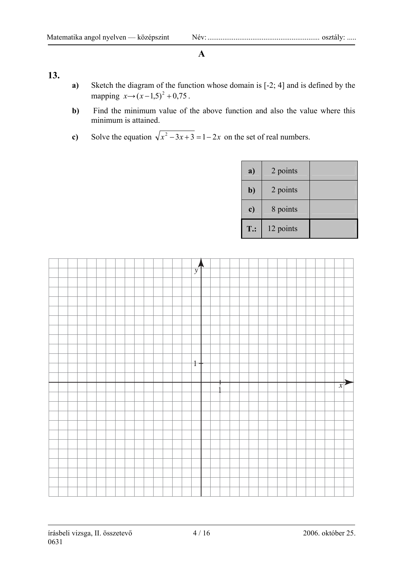#### **A**

#### **13.**

- **a)** Sketch the diagram of the function whose domain is [-2; 4] and is defined by the mapping  $x \rightarrow (x-1,5)^2 + 0,75$ .
- **b)** Find the minimum value of the above function and also the value where this minimum is attained.
- **c)** Solve the equation  $\sqrt{x^2 3x + 3} = 1 2x$  on the set of real numbers.

| a)     | 2 points  |  |
|--------|-----------|--|
| b)     | 2 points  |  |
| c)     | 8 points  |  |
| $T$ .: | 12 points |  |

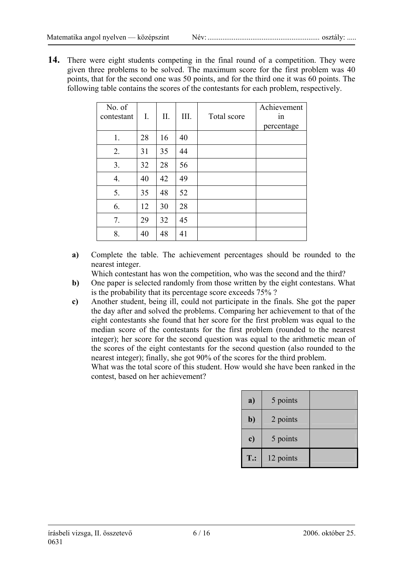14. There were eight students competing in the final round of a competition. They were given three problems to be solved. The maximum score for the first problem was 40 points, that for the second one was 50 points, and for the third one it was 60 points. The following table contains the scores of the contestants for each problem, respectively.

| No. of<br>contestant | I. | II. | III. | Total score | Achievement<br>1n |
|----------------------|----|-----|------|-------------|-------------------|
|                      |    |     |      |             | percentage        |
| 1.                   | 28 | 16  | 40   |             |                   |
| 2.                   | 31 | 35  | 44   |             |                   |
| 3.                   | 32 | 28  | 56   |             |                   |
| 4.                   | 40 | 42  | 49   |             |                   |
| 5.                   | 35 | 48  | 52   |             |                   |
| 6.                   | 12 | 30  | 28   |             |                   |
| 7.                   | 29 | 32  | 45   |             |                   |
| 8.                   | 40 | 48  | 41   |             |                   |

**a)** Complete the table. The achievement percentages should be rounded to the nearest integer.

Which contestant has won the competition, who was the second and the third?

- **b)** One paper is selected randomly from those written by the eight contestans. What is the probability that its percentage score exceeds 75% ?
- **c)** Another student, being ill, could not participate in the finals. She got the paper the day after and solved the problems. Comparing her achievement to that of the eight contestants she found that her score for the first problem was equal to the median score of the contestants for the first problem (rounded to the nearest integer); her score for the second question was equal to the arithmetic mean of the scores of the eight contestants for the second question (also rounded to the nearest integer); finally, she got 90% of the scores for the third problem.

 What was the total score of this student. How would she have been ranked in the contest, based on her achievement?

| a)           | 5 points  |  |
|--------------|-----------|--|
| $\mathbf{b}$ | 2 points  |  |
| c)           | 5 points  |  |
| <b>T.:</b>   | 12 points |  |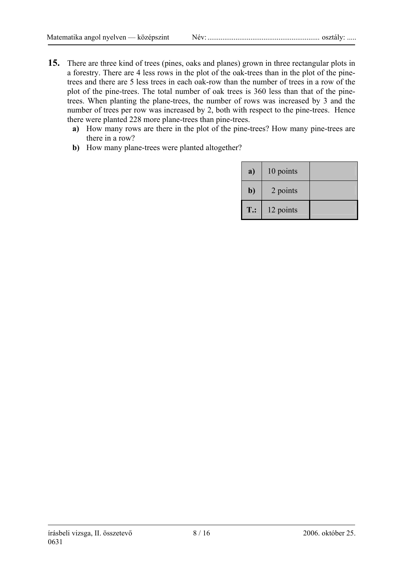- **15.** There are three kind of trees (pines, oaks and planes) grown in three rectangular plots in a forestry. There are 4 less rows in the plot of the oak-trees than in the plot of the pinetrees and there are 5 less trees in each oak-row than the number of trees in a row of the plot of the pine-trees. The total number of oak trees is 360 less than that of the pinetrees. When planting the plane-trees, the number of rows was increased by 3 and the number of trees per row was increased by 2, both with respect to the pine-trees. Hence there were planted 228 more plane-trees than pine-trees.
	- **a)** How many rows are there in the plot of the pine-trees? How many pine-trees are there in a row?
	- **b)** How many plane-trees were planted altogether?

| a)           | 10 points |  |
|--------------|-----------|--|
| $\mathbf{b}$ | 2 points  |  |
| $T$ .:       | 12 points |  |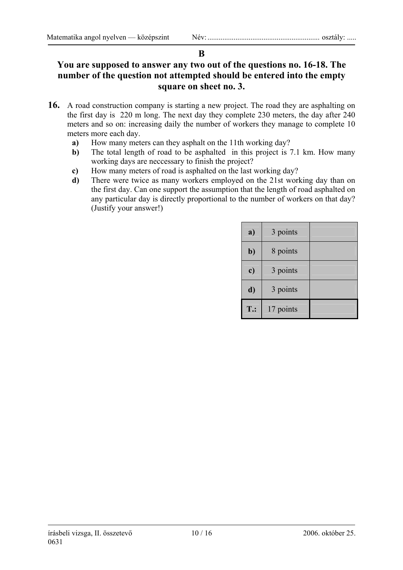#### **B**

#### **You are supposed to answer any two out of the questions no. 16-18. The number of the question not attempted should be entered into the empty square on sheet no. 3.**

- **16.** A road construction company is starting a new project. The road they are asphalting on the first day is 220 m long. The next day they complete 230 meters, the day after 240 meters and so on: increasing daily the number of workers they manage to complete 10 meters more each day.
	- **a)** How many meters can they asphalt on the 11th working day?
	- **b)** The total length of road to be asphalted in this project is 7.1 km. How many working days are neccessary to finish the project?
	- **c)** How many meters of road is asphalted on the last working day?
	- **d)** There were twice as many workers employed on the 21st working day than on the first day. Can one support the assumption that the length of road asphalted on any particular day is directly proportional to the number of workers on that day? (Justify your answer!)

| a)     | 3 points  |  |
|--------|-----------|--|
| $b$    | 8 points  |  |
| c)     | 3 points  |  |
| d)     | 3 points  |  |
| $T$ .: | 17 points |  |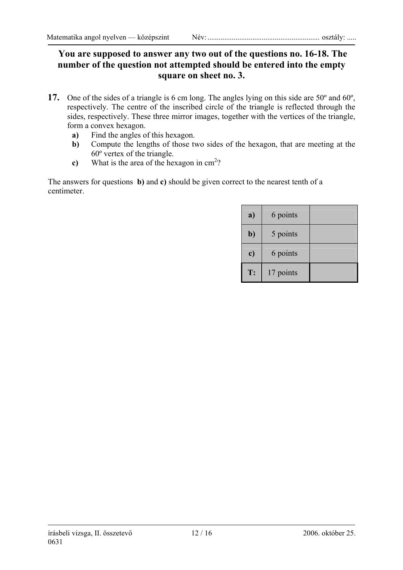#### **You are supposed to answer any two out of the questions no. 16-18. The number of the question not attempted should be entered into the empty square on sheet no. 3.**

- **17.** One of the sides of a triangle is 6 cm long. The angles lying on this side are 50º and 60º, respectively. The centre of the inscribed circle of the triangle is reflected through the sides, respectively. These three mirror images, together with the vertices of the triangle, form a convex hexagon.
	- **a)** Find the angles of this hexagon.
	- **b)** Compute the lengths of those two sides of the hexagon, that are meeting at the 60º vertex of the triangle.
	- c) What is the area of the hexagon in  $\text{cm}^2$ ?

The answers for questions **b)** and **c)** should be given correct to the nearest tenth of a centimeter.

| a)  | 6 points  |  |
|-----|-----------|--|
| $b$ | 5 points  |  |
| c)  | 6 points  |  |
| T:  | 17 points |  |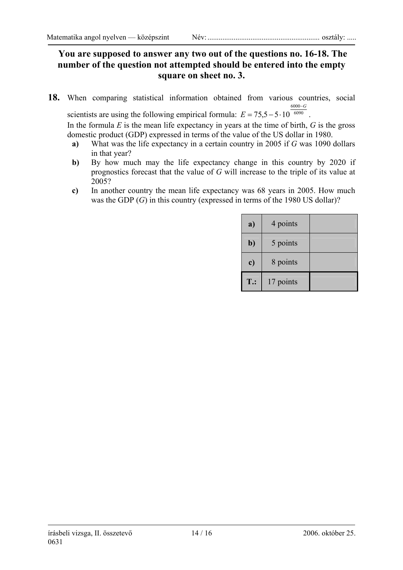#### **You are supposed to answer any two out of the questions no. 16-18. The number of the question not attempted should be entered into the empty square on sheet no. 3.**

**18.** When comparing statistical information obtained from various countries, social  $6000 - G$ 

scientists are using the following empirical formula:  $E = 75,5 - 5 \cdot 10^{-6090}$ . In the formula *E* is the mean life expectancy in years at the time of birth, *G* is the gross domestic product (GDP) expressed in terms of the value of the US dollar in 1980.

- **a)** What was the life expectancy in a certain country in 2005 if *G* was 1090 dollars in that year?
- **b)** By how much may the life expectancy change in this country by 2020 if prognostics forecast that the value of *G* will increase to the triple of its value at 2005?
- **c)** In another country the mean life expectancy was 68 years in 2005. How much was the GDP (*G*) in this country (expressed in terms of the 1980 US dollar)?

| a)         | 4 points  |  |
|------------|-----------|--|
| b)         | 5 points  |  |
| c)         | 8 points  |  |
| <b>T.:</b> | 17 points |  |